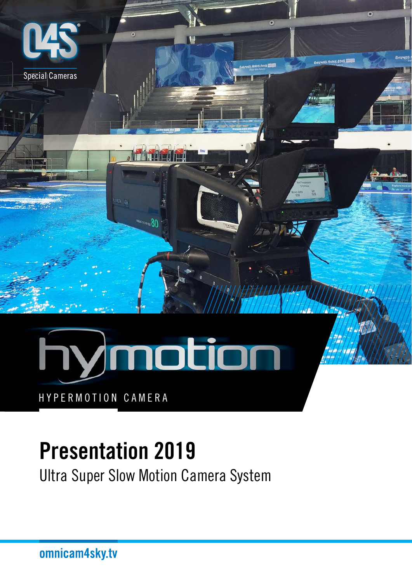

HYPERMOTION CAMERA

#### Presentation 2019

Ultra Super Slow Motion Camera System

omnicam4sky.tv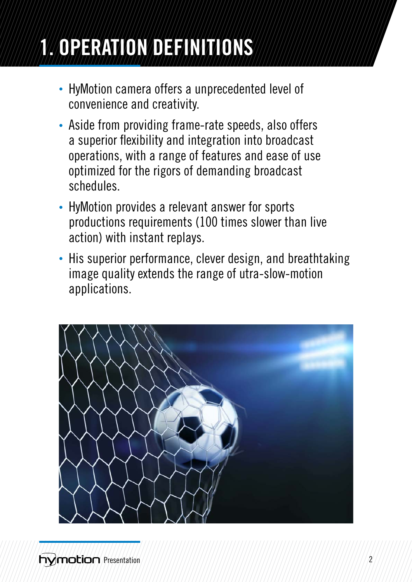# 1. OPERATION DEFINITIONS

- HyMotion camera offers a unprecedented level of convenience and creativity.
- Aside from providing frame-rate speeds, also offers a superior flexibility and integration into broadcast operations, with a range of features and ease of use optimized for the rigors of demanding broadcast schedules.
- HyMotion provides a relevant answer for sports productions requirements (100 times slower than live action) with instant replays.
- His superior performance, clever design, and breathtaking image quality extends the range of utra-slow-motion applications.

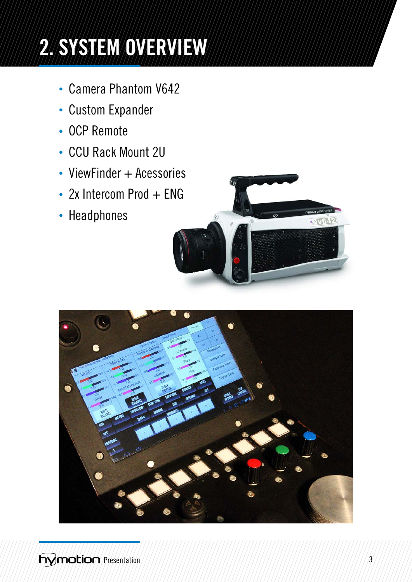### 2. SYSTEM OVERVIEW

- Camera Phantom V642
- Custom Expander
- OCP Remote
- CCU Rack Mount 2U
- ViewFinder + Acessories
- $\cdot$  2x Intercom Prod  $+$  ENG
- Headphones



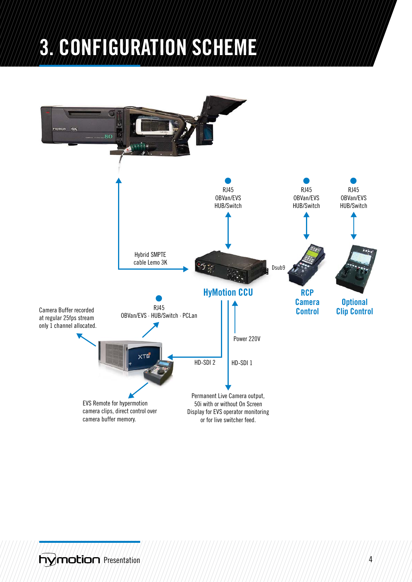#### 3. CONFIGURATION SCHEME

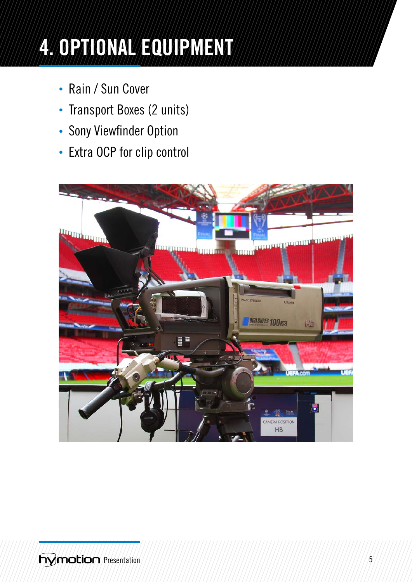## 4. OPTIONAL EQUIPMENT

- Rain / Sun Cover
- Transport Boxes (2 units)
- Sony Viewfinder Option
- Extra OCP for clip control

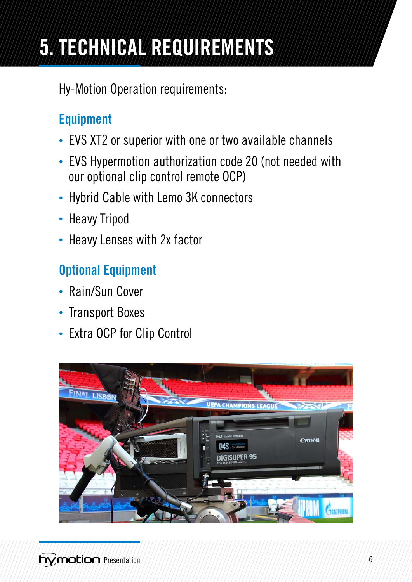### 5. TECHNICAL REQUIREMENTS

Hy-Motion Operation requirements:

#### Equipment

- EVS XT2 or superior with one or two available channels
- EVS Hypermotion authorization code 20 (not needed with our optional clip control remote OCP)
- Hybrid Cable with Lemo 3K connectors
- Heavy Tripod
- Heavy Lenses with 2x factor

#### Optional Equipment

- Rain/Sun Cover
- Transport Boxes
- Extra OCP for Clip Control